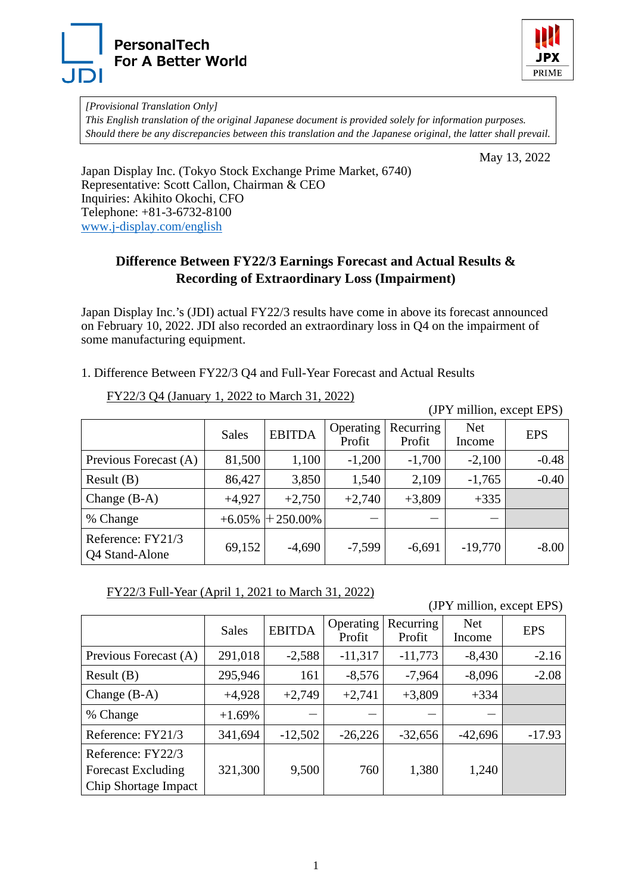



*[Provisional Translation Only] This English translation of the original Japanese document is provided solely for information purposes. Should there be any discrepancies between this translation and the Japanese original, the latter shall prevail.*

May 13, 2022

Japan Display Inc. (Tokyo Stock Exchange Prime Market, 6740) Representative: Scott Callon, Chairman & CEO Inquiries: Akihito Okochi, CFO Telephone: +81-3-6732-8100 [www.j-display.com/english](http://www.j-display.com/english/)

## **Difference Between FY22/3 Earnings Forecast and Actual Results & Recording of Extraordinary Loss (Impairment)**

Japan Display Inc.'s (JDI) actual FY22/3 results have come in above its forecast announced on February 10, 2022. JDI also recorded an extraordinary loss in Q4 on the impairment of some manufacturing equipment.

1. Difference Between FY22/3 Q4 and Full-Year Forecast and Actual Results

FY22/3 Q4 (January 1, 2022 to March 31, 2022)

(JPY million, except EPS)

|                                     | <b>Sales</b> | <b>EBITDA</b>       | Operating<br>Profit | Recurring<br>Profit | <b>Net</b><br>Income | <b>EPS</b> |
|-------------------------------------|--------------|---------------------|---------------------|---------------------|----------------------|------------|
| Previous Forecast (A)               | 81,500       | 1,100               | $-1,200$            | $-1,700$            | $-2,100$             | $-0.48$    |
| Result(B)                           | 86,427       | 3,850               | 1,540               | 2,109               | $-1,765$             | $-0.40$    |
| Change $(B-A)$                      | $+4,927$     | $+2,750$            | $+2,740$            | $+3,809$            | $+335$               |            |
| % Change                            |              | $+6.05\%$ + 250.00% |                     |                     |                      |            |
| Reference: FY21/3<br>Q4 Stand-Alone | 69,152       | $-4,690$            | $-7,599$            | $-6,691$            | $-19,770$            | $-8.00$    |

FY22/3 Full-Year (April 1, 2021 to March 31, 2022)

(JPY million, except EPS)

|                                                                        | <b>Sales</b> | <b>EBITDA</b> | Operating<br>Profit | Recurring<br>Profit | <b>Net</b><br>Income | <b>EPS</b> |
|------------------------------------------------------------------------|--------------|---------------|---------------------|---------------------|----------------------|------------|
| Previous Forecast (A)                                                  | 291,018      | $-2,588$      | $-11,317$           | $-11,773$           | $-8,430$             | $-2.16$    |
| Result(B)                                                              | 295,946      | 161           | $-8,576$            | $-7,964$            | $-8,096$             | $-2.08$    |
| Change $(B-A)$                                                         | $+4,928$     | $+2,749$      | $+2,741$            | $+3,809$            | $+334$               |            |
| % Change                                                               | $+1.69%$     |               |                     |                     |                      |            |
| Reference: FY21/3                                                      | 341,694      | $-12,502$     | $-26,226$           | $-32,656$           | $-42,696$            | $-17.93$   |
| Reference: FY22/3<br><b>Forecast Excluding</b><br>Chip Shortage Impact | 321,300      | 9,500         | 760                 | 1,380               | 1,240                |            |